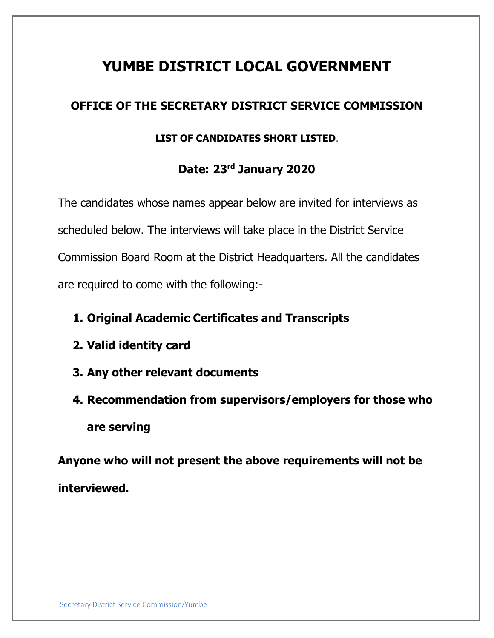# **YUMBE DISTRICT LOCAL GOVERNMENT**

## **OFFICE OF THE SECRETARY DISTRICT SERVICE COMMISSION**

## **LIST OF CANDIDATES SHORT LISTED**.

## **Date: 23 rd January 2020**

The candidates whose names appear below are invited for interviews as scheduled below. The interviews will take place in the District Service Commission Board Room at the District Headquarters. All the candidates are required to come with the following:-

- **1. Original Academic Certificates and Transcripts**
- **2. Valid identity card**
- **3. Any other relevant documents**

**4. Recommendation from supervisors/employers for those who are serving**

**Anyone who will not present the above requirements will not be interviewed.**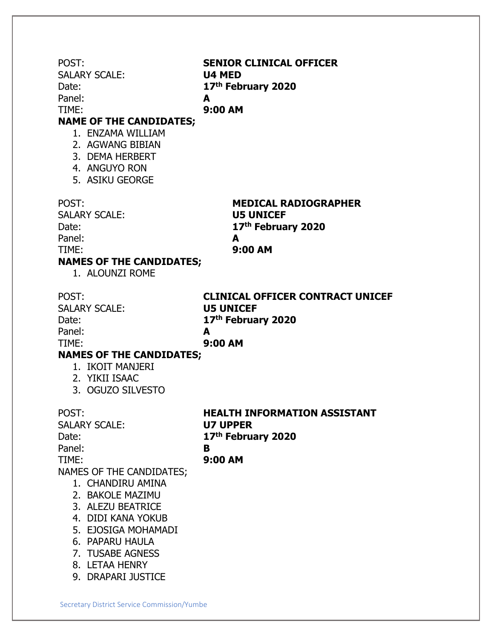POST: **SENIOR CLINICAL OFFICER** SALARY SCALE: **U4 MED** Date: **17th February 2020** Panel: **A** TIME: **9:00 AM NAME OF THE CANDIDATES;** 1. ENZAMA WILLIAM 2. AGWANG BIBIAN 3. DEMA HERBERT 4. ANGUYO RON 5. ASIKU GEORGE POST: **MEDICAL RADIOGRAPHER** SALARY SCALE: **U5 UNICEF** Date: **17th February 2020** Panel: **A** TIME: **9:00 AM NAMES OF THE CANDIDATES;** 1. ALOUNZI ROME POST: **CLINICAL OFFICER CONTRACT UNICEF** SALARY SCALE: **U5 UNICEF** Date: **17th February 2020** Panel: **A** TIME: **9:00 AM NAMES OF THE CANDIDATES;** 1. IKOIT MANJERI 2. YIKII ISAAC 3. OGUZO SILVESTO POST: **HEALTH INFORMATION ASSISTANT** SALARY SCALE: **U7 UPPER** Date: **17th February 2020** Panel: **B** TIME: **9:00 AM** NAMES OF THE CANDIDATES; 1. CHANDIRU AMINA 2. BAKOLE MAZIMU 3. ALEZU BEATRICE 4. DIDI KANA YOKUB 5. EJOSIGA MOHAMADI 6. PAPARU HAULA 7. TUSABE AGNESS 8. LETAA HENRY 9. DRAPARI JUSTICE

Secretary District Service Commission/Yumbe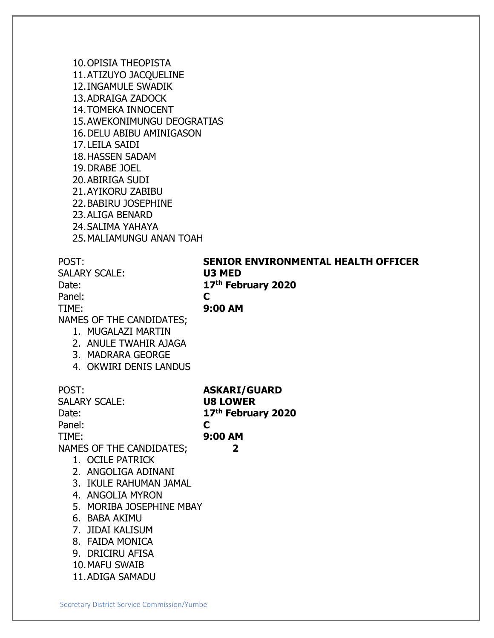10.OPISIA THEOPISTA 11.ATIZUYO JACQUELINE 12.INGAMULE SWADIK 13.ADRAIGA ZADOCK 14.TOMEKA INNOCENT 15.AWEKONIMUNGU DEOGRATIAS 16.DELU ABIBU AMINIGASON 17.LEILA SAIDI 18.HASSEN SADAM 19.DRABE JOEL 20.ABIRIGA SUDI 21.AYIKORU ZABIBU 22.BABIRU JOSEPHINE 23.ALIGA BENARD 24.SALIMA YAHAYA 25.MALIAMUNGU ANAN TOAH

POST: **SENIOR ENVIRONMENTAL HEALTH OFFICER** SALARY SCALE: **U3 MED** Date: **17th February 2020** Panel: **C** TIME: **9:00 AM** NAMES OF THE CANDIDATES; 1. MUGALAZI MARTIN 2. ANULE TWAHIR AJAGA 3. MADRARA GEORGE 4. OKWIRI DENIS LANDUS POST: **ASKARI/GUARD** SALARY SCALE: **U8 LOWER** Date: **17th February 2020** Panel: **C** TIME: **9:00 AM** NAMES OF THE CANDIDATES; **2** 1. OCILE PATRICK 2. ANGOLIGA ADINANI 3. IKULE RAHUMAN JAMAL 4. ANGOLIA MYRON 5. MORIBA JOSEPHINE MBAY 6. BABA AKIMU 7. JIDAI KALISUM 8. FAIDA MONICA 9. DRICIRU AFISA 10.MAFU SWAIB 11.ADIGA SAMADU

Secretary District Service Commission/Yumbe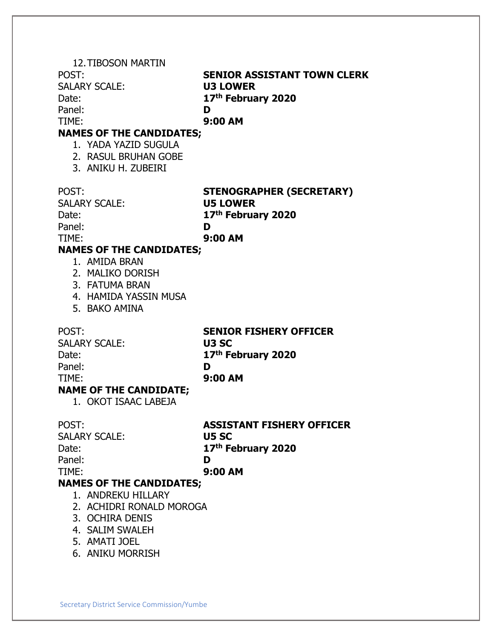|                                 | <b>12. TIBOSON MARTIN</b>       |                                                    |
|---------------------------------|---------------------------------|----------------------------------------------------|
|                                 | POST:                           | <b>SENIOR ASSISTANT TOWN CLERK</b>                 |
|                                 | <b>SALARY SCALE:</b>            | <b>U3 LOWER</b>                                    |
|                                 | Date:                           | 17th February 2020                                 |
|                                 | Panel:                          | D                                                  |
|                                 | TIME:                           | 9:00 AM                                            |
| <b>NAMES OF THE CANDIDATES;</b> |                                 |                                                    |
|                                 | 1. YADA YAZID SUGULA            |                                                    |
|                                 | 2. RASUL BRUHAN GOBE            |                                                    |
|                                 | 3. ANIKU H. ZUBEIRI             |                                                    |
|                                 |                                 |                                                    |
|                                 | POST:                           |                                                    |
|                                 | <b>SALARY SCALE:</b>            | <b>STENOGRAPHER (SECRETARY)</b><br><b>U5 LOWER</b> |
|                                 |                                 |                                                    |
|                                 | Date:                           | 17th February 2020                                 |
|                                 | Panel:                          | D                                                  |
|                                 | TIME:                           | 9:00 AM                                            |
| <b>NAMES OF THE CANDIDATES;</b> |                                 |                                                    |
|                                 | 1. AMIDA BRAN                   |                                                    |
|                                 | 2. MALIKO DORISH                |                                                    |
|                                 | 3. FATUMA BRAN                  |                                                    |
|                                 | 4. HAMIDA YASSIN MUSA           |                                                    |
|                                 | 5. BAKO AMINA                   |                                                    |
|                                 |                                 |                                                    |
|                                 | POST:                           | <b>SENIOR FISHERY OFFICER</b>                      |
|                                 | <b>SALARY SCALE:</b>            | U3 SC                                              |
|                                 | Date:                           | 17th February 2020                                 |
|                                 | Panel:                          | D                                                  |
|                                 | TIME:                           | 9:00 AM                                            |
| <b>NAME OF THE CANDIDATE;</b>   |                                 |                                                    |
|                                 | 1. OKOT ISAAC LABEJA            |                                                    |
|                                 |                                 |                                                    |
|                                 | POST:                           | <b>ASSISTANT FISHERY OFFICER</b>                   |
|                                 | <b>SALARY SCALE:</b>            | U5 SC                                              |
|                                 |                                 |                                                    |
|                                 | Date:                           | 17th February 2020                                 |
|                                 | Panel:                          | D                                                  |
|                                 | TIME:                           | 9:00 AM                                            |
|                                 | <b>NAMES OF THE CANDIDATES;</b> |                                                    |
|                                 | 1. ANDREKU HILLARY              |                                                    |
|                                 | 2. ACHIDRI RONALD MOROGA        |                                                    |
|                                 | 3. OCHIRA DENIS                 |                                                    |
|                                 | 4. SALIM SWALEH                 |                                                    |
|                                 | 5. AMATI JOEL                   |                                                    |
|                                 | 6. ANIKU MORRISH                |                                                    |
|                                 |                                 |                                                    |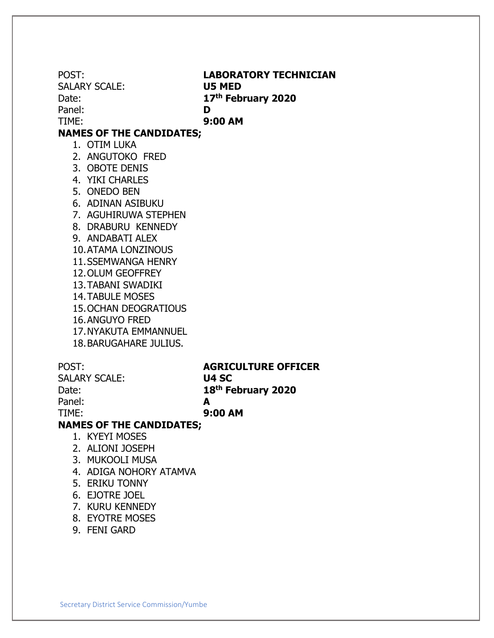POST: **LABORATORY TECHNICIAN** SALARY SCALE: **U5 MED** Date: **17th February 2020** Panel: **D** TIME: **9:00 AM NAMES OF THE CANDIDATES;** 1. OTIM LUKA 2. ANGUTOKO FRED 3. OBOTE DENIS 4. YIKI CHARLES 5. ONEDO BEN 6. ADINAN ASIBUKU 7. AGUHIRUWA STEPHEN 8. DRABURU KENNEDY 9. ANDABATI ALEX 10.ATAMA LONZINOUS 11.SSEMWANGA HENRY 12.OLUM GEOFFREY 13.TABANI SWADIKI 14.TABULE MOSES 15.OCHAN DEOGRATIOUS 16.ANGUYO FRED 17.NYAKUTA EMMANNUEL 18.BARUGAHARE JULIUS. POST: **AGRICULTURE OFFICER** SALARY SCALE: **U4 SC** Date: **th February 2020** Panel: **A** TIME: **9:00 AM**

### **NAMES OF THE CANDIDATES;**

- 1. KYEYI MOSES
- 2. ALIONI JOSEPH
- 3. MUKOOLI MUSA
- 4. ADIGA NOHORY ATAMVA
- 5. ERIKU TONNY
- 6. EJOTRE JOEL
- 7. KURU KENNEDY
- 8. EYOTRE MOSES
- 9. FENI GARD